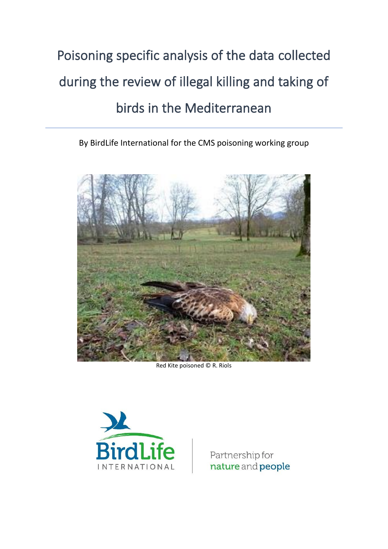# Poisoning specific analysis of the data collected during the review of illegal killing and taking of birds in the Mediterranean

By BirdLife International for the CMS poisoning working group



Red Kite poisoned © R. Riols



Partnership for nature and people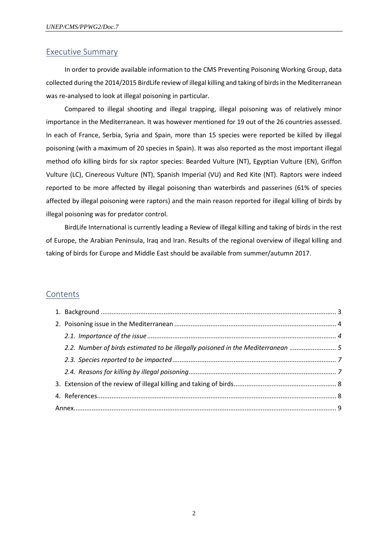## Executive Summary

In order to provide available information to the CMS Preventing Poisoning Working Group, data collected during the 2014/2015 BirdLife review of illegal killing and taking of birds in the Mediterranean was re-analysed to look at illegal poisoning in particular.

Compared to illegal shooting and illegal trapping, illegal poisoning was of relatively minor importance in the Mediterranean. It was however mentioned for 19 out of the 26 countries assessed. In each of France, Serbia, Syria and Spain, more than 15 species were reported be killed by illegal poisoning (with a maximum of 20 species in Spain). It was also reported as the most important illegal method ofo killing birds for six raptor species: Bearded Vulture (NT), Egyptian Vulture (EN), Griffon Vulture (LC), Cinereous Vulture (NT), Spanish Imperial (VU) and Red Kite (NT). Raptors were indeed reported to be more affected by illegal poisoning than waterbirds and passerines (61% of species affected by illegal poisoning were raptors) and the main reason reported for illegal killing of birds by illegal poisoning was for predator control.

BirdLife International is currently leading a Review of illegal killing and taking of birds in the rest of Europe, the Arabian Peninsula, Iraq and Iran. Results of the regional overview of illegal killing and taking of birds for Europe and Middle East should be available from summer/autumn 2017.

## Contents

| 2.2. Number of birds estimated to be illegally poisoned in the Mediterranean  5 |  |
|---------------------------------------------------------------------------------|--|
|                                                                                 |  |
|                                                                                 |  |
|                                                                                 |  |
|                                                                                 |  |
|                                                                                 |  |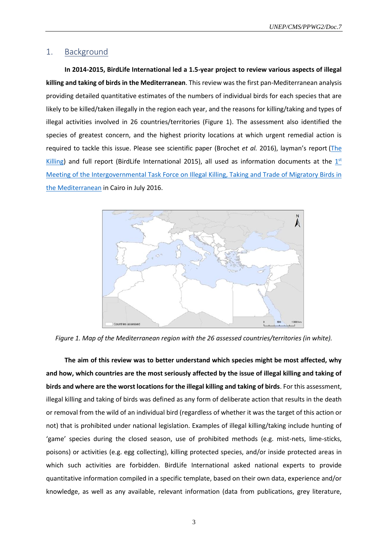## <span id="page-2-0"></span>1. Background

**In 2014-2015, BirdLife International led a 1.5-year project to review various aspects of illegal killing and taking of birds in the Mediterranean**. This review was the first pan-Mediterranean analysis providing detailed quantitative estimates of the numbers of individual birds for each species that are likely to be killed/taken illegally in the region each year, and the reasons for killing/taking and types of illegal activities involved in 26 countries/territories (Figure 1). The assessment also identified the species of greatest concern, and the highest priority locations at which urgent remedial action is required to tackle this issue. Please see scientific paper (Brochet *et al.* 2016), layman's report [\(The](http://www.cms.int/sites/default/files/document/unep_cms_mikt1_inf-5.1a_the-killing.pdf)  [Killing\)](http://www.cms.int/sites/default/files/document/unep_cms_mikt1_inf-5.1a_the-killing.pdf) and full report (BirdLife International 20[1](http://www.cms.int/en/meeting/1st-meeting-intergovernmental-task-force-illegal-killing-taking-and-trade-migratory-birds)5), all used as information documents at the  $1<sup>st</sup>$ [Meeting of the Intergovernmental Task Force on Illegal Killing, Taking and Trade of Migratory Birds in](http://www.cms.int/en/meeting/1st-meeting-intergovernmental-task-force-illegal-killing-taking-and-trade-migratory-birds)  [the Mediterranean](http://www.cms.int/en/meeting/1st-meeting-intergovernmental-task-force-illegal-killing-taking-and-trade-migratory-birds) in Cairo in July 2016.



*Figure 1. Map of the Mediterranean region with the 26 assessed countries/territories (in white).*

**The aim of this review was to better understand which species might be most affected, why and how, which countries are the most seriously affected by the issue of illegal killing and taking of birds and where are the worst locations for the illegal killing and taking of birds**. For this assessment, illegal killing and taking of birds was defined as any form of deliberate action that results in the death or removal from the wild of an individual bird (regardless of whether it was the target of this action or not) that is prohibited under national legislation. Examples of illegal killing/taking include hunting of 'game' species during the closed season, use of prohibited methods (e.g. mist-nets, lime-sticks, poisons) or activities (e.g. egg collecting), killing protected species, and/or inside protected areas in which such activities are forbidden. BirdLife International asked national experts to provide quantitative information compiled in a specific template, based on their own data, experience and/or knowledge, as well as any available, relevant information (data from publications, grey literature,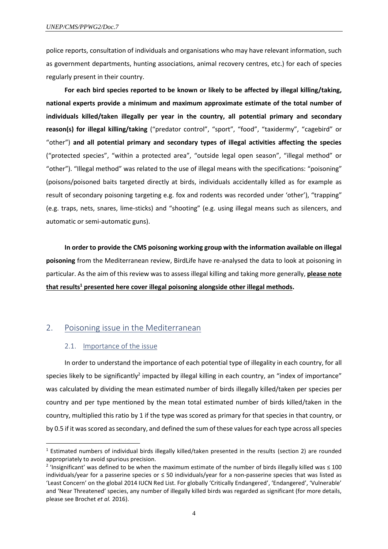police reports, consultation of individuals and organisations who may have relevant information, such as government departments, hunting associations, animal recovery centres, etc.) for each of species regularly present in their country.

**For each bird species reported to be known or likely to be affected by illegal killing/taking, national experts provide a minimum and maximum approximate estimate of the total number of individuals killed/taken illegally per year in the country, all potential primary and secondary reason(s) for illegal killing/taking** ("predator control", "sport", "food", "taxidermy", "cagebird" or "other") **and all potential primary and secondary types of illegal activities affecting the species** ("protected species", "within a protected area", "outside legal open season", "illegal method" or "other"). "Illegal method" was related to the use of illegal means with the specifications: "poisoning" (poisons/poisoned baits targeted directly at birds, individuals accidentally killed as for example as result of secondary poisoning targeting e.g. fox and rodents was recorded under 'other'), "trapping" (e.g. traps, nets, snares, lime-sticks) and "shooting" (e.g. using illegal means such as silencers, and automatic or semi-automatic guns).

**In order to provide the CMS poisoning working group with the information available on illegal poisoning** from the Mediterranean review, BirdLife have re-analysed the data to look at poisoning in particular. As the aim of this review was to assess illegal killing and taking more generally, **please note that results<sup>1</sup> presented here cover illegal poisoning alongside other illegal methods.**

### <span id="page-3-1"></span><span id="page-3-0"></span>2. Poisoning issue in the Mediterranean

#### 2.1. Importance of the issue

1

In order to understand the importance of each potential type of illegality in each country, for all species likely to be significantly<sup>2</sup> impacted by illegal killing in each country, an "index of importance" was calculated by dividing the mean estimated number of birds illegally killed/taken per species per country and per type mentioned by the mean total estimated number of birds killed/taken in the country, multiplied this ratio by 1 if the type was scored as primary for that species in that country, or by 0.5 if it was scored as secondary, and defined the sum of these values for each type across all species

<sup>1</sup> Estimated numbers of individual birds illegally killed/taken presented in the results (section 2) are rounded appropriately to avoid spurious precision.

<sup>&</sup>lt;sup>2</sup> 'Insignificant' was defined to be when the maximum estimate of the number of birds illegally killed was  $\leq 100$ individuals/year for a passerine species or ≤ 50 individuals/year for a non-passerine species that was listed as 'Least Concern' on the global 2014 IUCN Red List. For globally 'Critically Endangered', 'Endangered', 'Vulnerable' and 'Near Threatened' species, any number of illegally killed birds was regarded as significant (for more details, please see Brochet *et al.* 2016).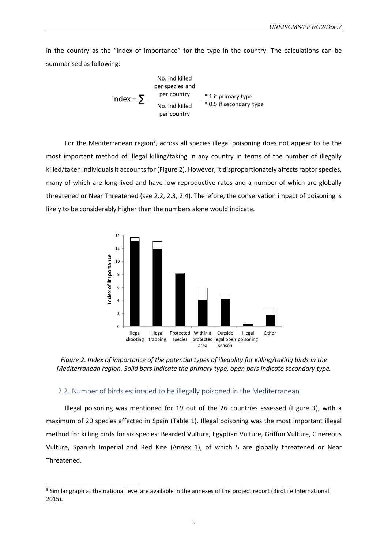in the country as the "index of importance" for the type in the country. The calculations can be summarised as following:

No. ind killed  
\nper species and  
\n
$$
Index = \sum \frac{\text{per country}}{\text{No. ind killed}} * 1 \text{ if primary type}
$$
  
\nper country  
\nper country  
\nper country

For the Mediterranean region<sup>3</sup>, across all species illegal poisoning does not appear to be the most important method of illegal killing/taking in any country in terms of the number of illegally killed/taken individuals it accounts for (Figure 2). However, it disproportionately affects raptor species, many of which are long-lived and have low reproductive rates and a number of which are globally threatened or Near Threatened (see 2.2, 2.3, 2.4). Therefore, the conservation impact of poisoning is likely to be considerably higher than the numbers alone would indicate.



*Figure 2. Index of importance of the potential types of illegality for killing/taking birds in the Mediterranean region. Solid bars indicate the primary type, open bars indicate secondary type.*

#### <span id="page-4-0"></span>2.2. Number of birds estimated to be illegally poisoned in the Mediterranean

Illegal poisoning was mentioned for 19 out of the 26 countries assessed (Figure 3), with a maximum of 20 species affected in Spain (Table 1). Illegal poisoning was the most important illegal method for killing birds for six species: Bearded Vulture, Egyptian Vulture, Griffon Vulture, Cinereous Vulture, Spanish Imperial and Red Kite (Annex 1), of which 5 are globally threatened or Near Threatened.

1

<sup>&</sup>lt;sup>3</sup> Similar graph at the national level are available in the annexes of the project report (BirdLife International 2015).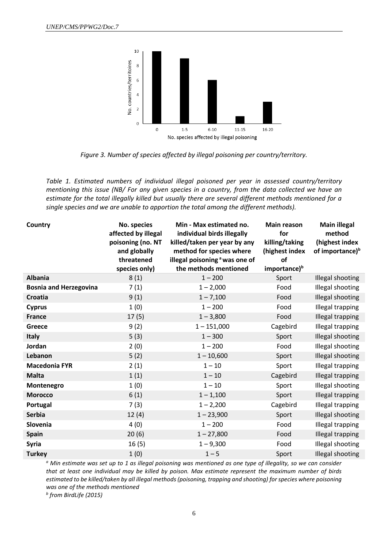

*Figure 3. Number of species affected by illegal poisoning per country/territory.*

*Table 1. Estimated numbers of individual illegal poisoned per year in assessed country/territory mentioning this issue (NB/ For any given species in a country, from the data collected we have an estimate for the total illegally killed but usually there are several different methods mentioned for a single species and we are unable to apportion the total among the different methods).*

| Country                       | No. species<br>affected by illegal<br>poisoning (no. NT<br>and globally<br>threatened<br>species only) | Min - Max estimated no.<br>individual birds illegally<br>killed/taken per year by any<br>method for species where<br>illegal poisoning <sup>a</sup> was one of<br>the methods mentioned | <b>Main reason</b><br>for<br>killing/taking<br>(highest index<br>of<br>importance) <sup>b</sup> | <b>Main illegal</b><br>method<br>(highest index<br>of importance) <sup>b</sup> |
|-------------------------------|--------------------------------------------------------------------------------------------------------|-----------------------------------------------------------------------------------------------------------------------------------------------------------------------------------------|-------------------------------------------------------------------------------------------------|--------------------------------------------------------------------------------|
| <b>Albania</b>                | 8(1)                                                                                                   | $1 - 200$                                                                                                                                                                               | Sport                                                                                           | Illegal shooting                                                               |
| <b>Bosnia and Herzegovina</b> | 7(1)                                                                                                   | $1 - 2,000$                                                                                                                                                                             | Food                                                                                            | Illegal shooting                                                               |
| Croatia                       | 9(1)                                                                                                   | $1 - 7,100$                                                                                                                                                                             | Food                                                                                            | Illegal shooting                                                               |
| <b>Cyprus</b>                 | 1(0)                                                                                                   | $1 - 200$                                                                                                                                                                               | Food                                                                                            | Illegal trapping                                                               |
| <b>France</b>                 | 17(5)                                                                                                  | $1 - 3,800$                                                                                                                                                                             | Food                                                                                            | Illegal trapping                                                               |
| Greece                        | 9(2)                                                                                                   | $1 - 151,000$                                                                                                                                                                           | Cagebird                                                                                        | Illegal trapping                                                               |
| Italy                         | 5(3)                                                                                                   | $1 - 300$                                                                                                                                                                               | Sport                                                                                           | Illegal shooting                                                               |
| Jordan                        | 2(0)                                                                                                   | $1 - 200$                                                                                                                                                                               | Food                                                                                            | Illegal shooting                                                               |
| Lebanon                       | 5(2)                                                                                                   | $1 - 10,600$                                                                                                                                                                            | Sport                                                                                           | Illegal shooting                                                               |
| <b>Macedonia FYR</b>          | 2(1)                                                                                                   | $1 - 10$                                                                                                                                                                                | Sport                                                                                           | Illegal trapping                                                               |
| <b>Malta</b>                  | 1(1)                                                                                                   | $1 - 10$                                                                                                                                                                                | Cagebird                                                                                        | Illegal trapping                                                               |
| Montenegro                    | 1(0)                                                                                                   | $1 - 10$                                                                                                                                                                                | Sport                                                                                           | Illegal shooting                                                               |
| <b>Morocco</b>                | 6(1)                                                                                                   | $1 - 1,100$                                                                                                                                                                             | Sport                                                                                           | Illegal trapping                                                               |
| Portugal                      | 7(3)                                                                                                   | $1 - 2,200$                                                                                                                                                                             | Cagebird                                                                                        | Illegal trapping                                                               |
| <b>Serbia</b>                 | 12(4)                                                                                                  | $1 - 23,900$                                                                                                                                                                            | Sport                                                                                           | Illegal shooting                                                               |
| Slovenia                      | 4(0)                                                                                                   | $1 - 200$                                                                                                                                                                               | Food                                                                                            | Illegal trapping                                                               |
| <b>Spain</b>                  | 20(6)                                                                                                  | $1 - 27,800$                                                                                                                                                                            | Food                                                                                            | Illegal trapping                                                               |
| <b>Syria</b>                  | 16(5)                                                                                                  | $1 - 9,300$                                                                                                                                                                             | Food                                                                                            | Illegal shooting                                                               |
| <b>Turkey</b>                 | 1(0)                                                                                                   | $1 - 5$                                                                                                                                                                                 | Sport                                                                                           | Illegal shooting                                                               |

*<sup>a</sup> Min estimate was set up to 1 as illegal poisoning was mentioned as one type of illegality, so we can consider that at least one individual may be killed by poison. Max estimate represent the maximum number of birds estimated to be killed/taken by all illegal methods(poisoning, trapping and shooting) for species where poisoning was one of the methods mentioned*

*b from BirdLife (2015)*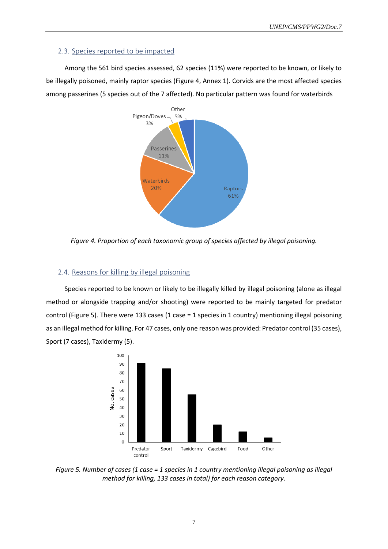## <span id="page-6-0"></span>2.3. Species reported to be impacted

Among the 561 bird species assessed, 62 species (11%) were reported to be known, or likely to be illegally poisoned, mainly raptor species (Figure 4, Annex 1). Corvids are the most affected species among passerines (5 species out of the 7 affected). No particular pattern was found for waterbirds



*Figure 4. Proportion of each taxonomic group of species affected by illegal poisoning.*

## <span id="page-6-1"></span>2.4. Reasons for killing by illegal poisoning

Species reported to be known or likely to be illegally killed by illegal poisoning (alone as illegal method or alongside trapping and/or shooting) were reported to be mainly targeted for predator control (Figure 5). There were 133 cases (1 case = 1 species in 1 country) mentioning illegal poisoning as an illegal method for killing. For 47 cases, only one reason was provided: Predator control (35 cases), Sport (7 cases), Taxidermy (5).



*Figure 5. Number of cases (1 case = 1 species in 1 country mentioning illegal poisoning as illegal method for killing, 133 cases in total) for each reason category.*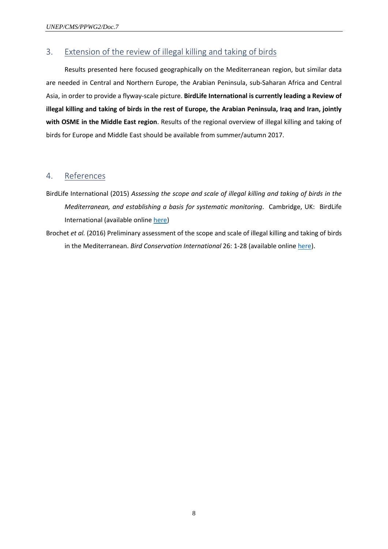## <span id="page-7-0"></span>3. Extension of the review of illegal killing and taking of birds

Results presented here focused geographically on the Mediterranean region, but similar data are needed in Central and Northern Europe, the Arabian Peninsula, sub-Saharan Africa and Central Asia, in order to provide a flyway-scale picture. **BirdLife International is currently leading a Review of illegal killing and taking of birds in the rest of Europe, the Arabian Peninsula, Iraq and Iran, jointly with OSME in the Middle East region**. Results of the regional overview of illegal killing and taking of birds for Europe and Middle East should be available from summer/autumn 2017.

## <span id="page-7-1"></span>4. References

- BirdLife International (2015) *Assessing the scope and scale of illegal killing and taking of birds in the Mediterranean, and establishing a basis for systematic monitoring*. Cambridge, UK: BirdLife International (available onlin[e here\)](http://www.birdlife.org/sites/default/files/attachments/project_report_final_version.pdf)
- Brochet *et al.* (2016) Preliminary assessment of the scope and scale of illegal killing and taking of birds in the Mediterranean. *Bird Conservation International* 26: 1-28 (available online [here\)](https://www.cambridge.org/core/services/aop-cambridge-core/content/view/34A06A94874DB94BE2BBACC4F96C3B5F/S0959270915000416a.pdf/div-class-title-preliminary-assessment-of-the-scope-and-scale-of-illegal-killing-and-taking-of-birds-in-the-mediterranean-div.pdf).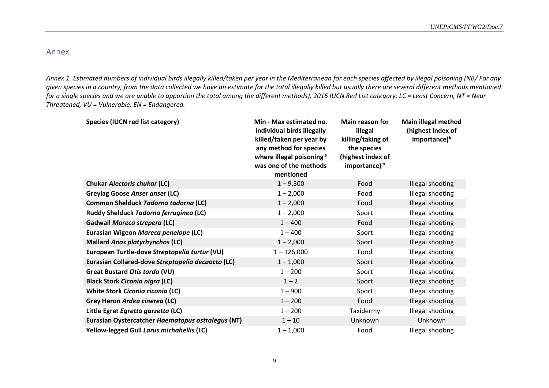#### Annex

*Annex 1. Estimated numbers of individual birds illegally killed/taken per year in the Mediterranean for each species affected by illegal poisoning (NB/ For any given species in a country, from the data collected we have an estimate for the total illegally killed but usually there are several different methods mentioned for a single species and we are unable to apportion the total among the different methods). 2016 IUCN Red List category: LC = Least Concern, NT = Near Threatened, VU = Vulnerable, EN = Endangered.*

<span id="page-8-0"></span>

| Species (IUCN red list category)                  | Min - Max estimated no.<br>individual birds illegally<br>killed/taken per year by<br>any method for species<br>where illegal poisoning <sup>a</sup><br>was one of the methods<br>mentioned | Main reason for<br>illegal<br>killing/taking of<br>the species<br>(highest index of<br>importance) <sup>b</sup> | Main illegal method<br>(highest index of<br>importance) <sup>b</sup> |
|---------------------------------------------------|--------------------------------------------------------------------------------------------------------------------------------------------------------------------------------------------|-----------------------------------------------------------------------------------------------------------------|----------------------------------------------------------------------|
| <b>Chukar Alectoris chukar (LC)</b>               | $1 - 9,500$                                                                                                                                                                                | Food                                                                                                            | Illegal shooting                                                     |
| <b>Greylag Goose Anser anser (LC)</b>             | $1 - 2,000$                                                                                                                                                                                | Food                                                                                                            | Illegal shooting                                                     |
| Common Shelduck Tadorna tadorna (LC)              | $1 - 2,000$                                                                                                                                                                                | Food                                                                                                            | Illegal shooting                                                     |
| Ruddy Shelduck Tadorna ferruginea (LC)            | $1 - 2,000$                                                                                                                                                                                | Sport                                                                                                           | Illegal shooting                                                     |
| Gadwall Mareca strepera (LC)                      | $1 - 400$                                                                                                                                                                                  | Food                                                                                                            | Illegal shooting                                                     |
| Eurasian Wigeon Mareca penelope (LC)              | $1 - 400$                                                                                                                                                                                  | Sport                                                                                                           | Illegal shooting                                                     |
| <b>Mallard Anas platyrhynchos (LC)</b>            | $1 - 2,000$                                                                                                                                                                                | Sport                                                                                                           | Illegal shooting                                                     |
| European Turtle-dove Streptopelia turtur (VU)     | $1 - 126,000$                                                                                                                                                                              | Food                                                                                                            | Illegal shooting                                                     |
| Eurasian Collared-dove Streptopelia decaocto (LC) | $1 - 1,000$                                                                                                                                                                                | Sport                                                                                                           | Illegal shooting                                                     |
| <b>Great Bustard Otis tarda (VU)</b>              | $1 - 200$                                                                                                                                                                                  | Sport                                                                                                           | Illegal shooting                                                     |
| <b>Black Stork Ciconia nigra (LC)</b>             | $1 - 2$                                                                                                                                                                                    | Sport                                                                                                           | Illegal shooting                                                     |
| White Stork Ciconia ciconia (LC)                  | $1 - 900$                                                                                                                                                                                  | Sport                                                                                                           | Illegal shooting                                                     |
| Grey Heron Ardea cinerea (LC)                     | $1 - 200$                                                                                                                                                                                  | Food                                                                                                            | Illegal shooting                                                     |
| Little Egret Egretta garzetta (LC)                | $1 - 200$                                                                                                                                                                                  | Taxidermy                                                                                                       | Illegal shooting                                                     |
| Eurasian Oystercatcher Haematopus ostralegus (NT) | $1 - 10$                                                                                                                                                                                   | Unknown                                                                                                         | Unknown                                                              |
| Yellow-legged Gull Larus michahellis (LC)         | $1 - 1,000$                                                                                                                                                                                | Food                                                                                                            | Illegal shooting                                                     |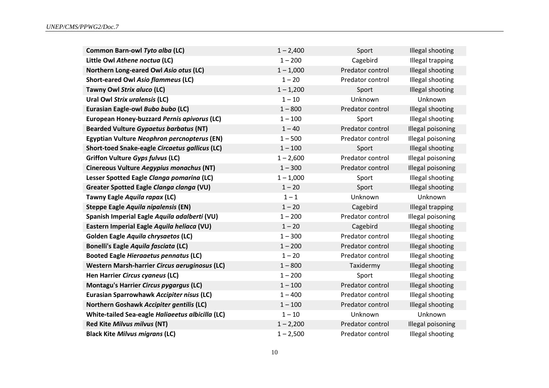| Common Barn-owl Tyto alba (LC)                       | $1 - 2,400$ | Sport            | <b>Illegal shooting</b> |
|------------------------------------------------------|-------------|------------------|-------------------------|
| Little Owl Athene noctua (LC)                        | $1 - 200$   | Cagebird         | Illegal trapping        |
| Northern Long-eared Owl Asio otus (LC)               | $1 - 1,000$ | Predator control | Illegal shooting        |
| <b>Short-eared Owl Asio flammeus (LC)</b>            | $1 - 20$    | Predator control | Illegal shooting        |
| Tawny Owl Strix aluco (LC)                           | $1 - 1,200$ | Sport            | Illegal shooting        |
| Ural Owl Strix uralensis (LC)                        | $1 - 10$    | Unknown          | Unknown                 |
| Eurasian Eagle-owl Bubo bubo (LC)                    | $1 - 800$   | Predator control | Illegal shooting        |
| European Honey-buzzard Pernis apivorus (LC)          | $1 - 100$   | Sport            | Illegal shooting        |
| <b>Bearded Vulture Gypaetus barbatus (NT)</b>        | $1 - 40$    | Predator control | Illegal poisoning       |
| Egyptian Vulture Neophron percnopterus (EN)          | $1 - 500$   | Predator control | Illegal poisoning       |
| Short-toed Snake-eagle Circaetus gallicus (LC)       | $1 - 100$   | Sport            | Illegal shooting        |
| <b>Griffon Vulture Gyps fulvus (LC)</b>              | $1 - 2,600$ | Predator control | Illegal poisoning       |
| Cinereous Vulture Aegypius monachus (NT)             | $1 - 300$   | Predator control | Illegal poisoning       |
| Lesser Spotted Eagle Clanga pomarina (LC)            | $1 - 1,000$ | Sport            | Illegal shooting        |
| Greater Spotted Eagle Clanga clanga (VU)             | $1 - 20$    | Sport            | Illegal shooting        |
| Tawny Eagle Aquila rapax (LC)                        | $1 - 1$     | Unknown          | Unknown                 |
| Steppe Eagle Aquila nipalensis (EN)                  | $1 - 20$    | Cagebird         | Illegal trapping        |
| Spanish Imperial Eagle Aquila adalberti (VU)         | $1 - 200$   | Predator control | Illegal poisoning       |
| Eastern Imperial Eagle Aquila heliaca (VU)           | $1 - 20$    | Cagebird         | Illegal shooting        |
| Golden Eagle Aquila chrysaetos (LC)                  | $1 - 300$   | Predator control | Illegal shooting        |
| <b>Bonelli's Eagle Aquila fasciata (LC)</b>          | $1 - 200$   | Predator control | Illegal shooting        |
| <b>Booted Eagle Hieraaetus pennatus (LC)</b>         | $1 - 20$    | Predator control | Illegal shooting        |
| <b>Western Marsh-harrier Circus aeruginosus (LC)</b> | $1 - 800$   | Taxidermy        | Illegal shooting        |
| Hen Harrier Circus cyaneus (LC)                      | $1 - 200$   | Sport            | Illegal shooting        |
| Montagu's Harrier Circus pygargus (LC)               | $1 - 100$   | Predator control | Illegal shooting        |
| Eurasian Sparrowhawk Accipiter nisus (LC)            | $1 - 400$   | Predator control | Illegal shooting        |
| Northern Goshawk Accipiter gentilis (LC)             | $1 - 100$   | Predator control | Illegal shooting        |
| White-tailed Sea-eagle Haliaeetus albicilla (LC)     | $1 - 10$    | Unknown          | Unknown                 |
| <b>Red Kite Milvus milvus (NT)</b>                   | $1 - 2,200$ | Predator control | Illegal poisoning       |
| <b>Black Kite Milvus migrans (LC)</b>                | $1 - 2,500$ | Predator control | Illegal shooting        |